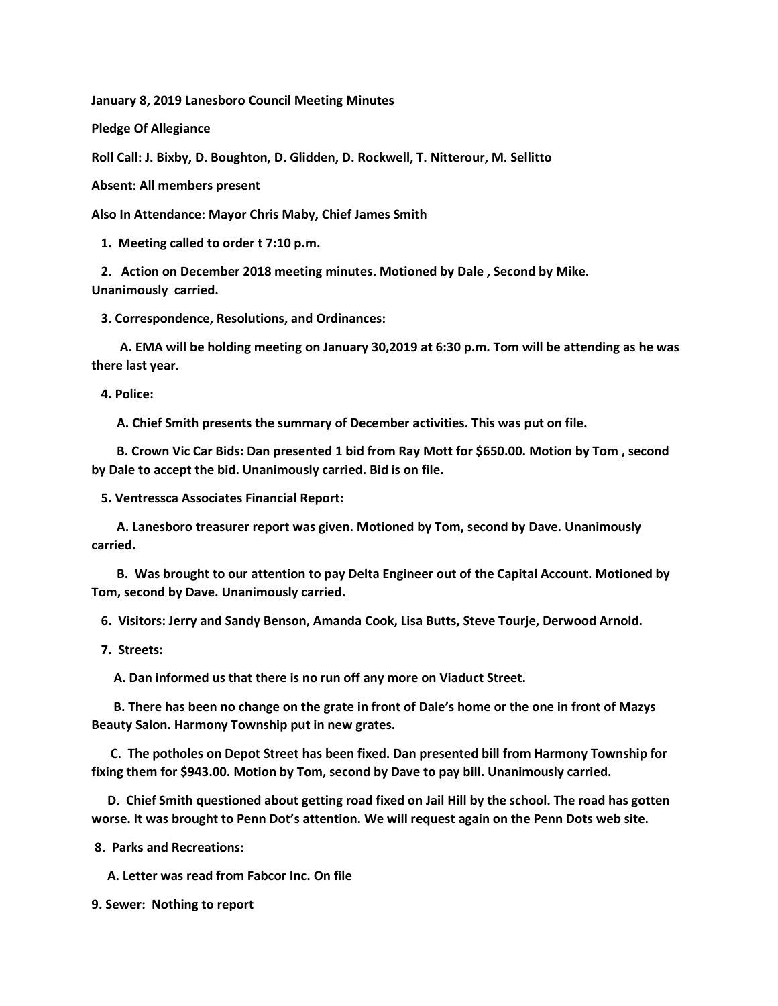**January 8, 2019 Lanesboro Council Meeting Minutes**

**Pledge Of Allegiance**

**Roll Call: J. Bixby, D. Boughton, D. Glidden, D. Rockwell, T. Nitterour, M. Sellitto**

**Absent: All members present**

**Also In Attendance: Mayor Chris Maby, Chief James Smith**

 **1. Meeting called to order t 7:10 p.m.**

 **2. Action on December 2018 meeting minutes. Motioned by Dale , Second by Mike. Unanimously carried.**

 **3. Correspondence, Resolutions, and Ordinances:**

 **A. EMA will be holding meeting on January 30,2019 at 6:30 p.m. Tom will be attending as he was there last year.** 

 **4. Police:**

 **A. Chief Smith presents the summary of December activities. This was put on file.**

 **B. Crown Vic Car Bids: Dan presented 1 bid from Ray Mott for \$650.00. Motion by Tom , second by Dale to accept the bid. Unanimously carried. Bid is on file.**

 **5. Ventressca Associates Financial Report:**

 **A. Lanesboro treasurer report was given. Motioned by Tom, second by Dave. Unanimously carried.**

 **B. Was brought to our attention to pay Delta Engineer out of the Capital Account. Motioned by Tom, second by Dave. Unanimously carried.**

 **6. Visitors: Jerry and Sandy Benson, Amanda Cook, Lisa Butts, Steve Tourje, Derwood Arnold.**

 **7. Streets:**

 **A. Dan informed us that there is no run off any more on Viaduct Street.**

 **B. There has been no change on the grate in front of Dale's home or the one in front of Mazys Beauty Salon. Harmony Township put in new grates.**

 **C. The potholes on Depot Street has been fixed. Dan presented bill from Harmony Township for fixing them for \$943.00. Motion by Tom, second by Dave to pay bill. Unanimously carried.**

 **D. Chief Smith questioned about getting road fixed on Jail Hill by the school. The road has gotten worse. It was brought to Penn Dot's attention. We will request again on the Penn Dots web site.**

**8. Parks and Recreations:**

 **A. Letter was read from Fabcor Inc. On file**

**9. Sewer: Nothing to report**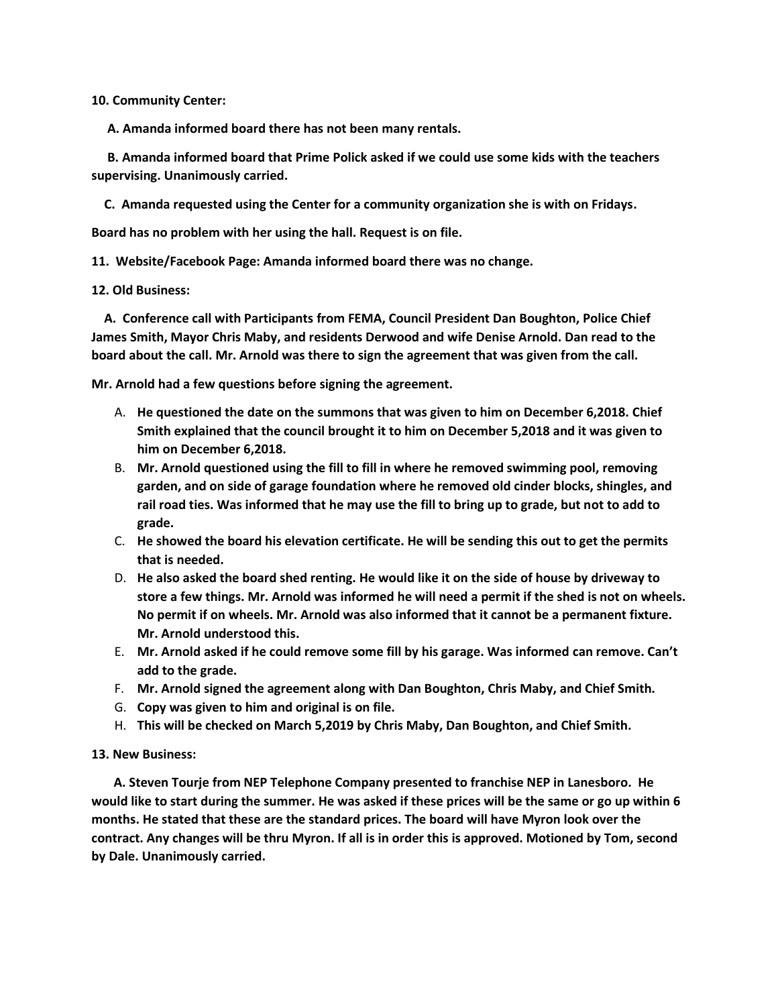**10. Community Center:**

 **A. Amanda informed board there has not been many rentals.**

 **B. Amanda informed board that Prime Polick asked if we could use some kids with the teachers supervising. Unanimously carried.**

 **C. Amanda requested using the Center for a community organization she is with on Fridays.**

**Board has no problem with her using the hall. Request is on file.**

**11. Website/Facebook Page: Amanda informed board there was no change.**

**12. Old Business:**

 **A. Conference call with Participants from FEMA, Council President Dan Boughton, Police Chief James Smith, Mayor Chris Maby, and residents Derwood and wife Denise Arnold. Dan read to the board about the call. Mr. Arnold was there to sign the agreement that was given from the call.**

**Mr. Arnold had a few questions before signing the agreement.** 

- A. **He questioned the date on the summons that was given to him on December 6,2018. Chief Smith explained that the council brought it to him on December 5,2018 and it was given to him on December 6,2018.**
- B. **Mr. Arnold questioned using the fill to fill in where he removed swimming pool, removing garden, and on side of garage foundation where he removed old cinder blocks, shingles, and rail road ties. Was informed that he may use the fill to bring up to grade, but not to add to grade.**
- C. **He showed the board his elevation certificate. He will be sending this out to get the permits that is needed.**
- D. **He also asked the board shed renting. He would like it on the side of house by driveway to store a few things. Mr. Arnold was informed he will need a permit if the shed is not on wheels. No permit if on wheels. Mr. Arnold was also informed that it cannot be a permanent fixture. Mr. Arnold understood this.**
- E. **Mr. Arnold asked if he could remove some fill by his garage. Was informed can remove. Can't add to the grade.**
- F. **Mr. Arnold signed the agreement along with Dan Boughton, Chris Maby, and Chief Smith.**
- G. **Copy was given to him and original is on file.**
- H. **This will be checked on March 5,2019 by Chris Maby, Dan Boughton, and Chief Smith.**

## **13. New Business:**

 **A. Steven Tourje from NEP Telephone Company presented to franchise NEP in Lanesboro. He would like to start during the summer. He was asked if these prices will be the same or go up within 6 months. He stated that these are the standard prices. The board will have Myron look over the contract. Any changes will be thru Myron. If all is in order this is approved. Motioned by Tom, second by Dale. Unanimously carried.**